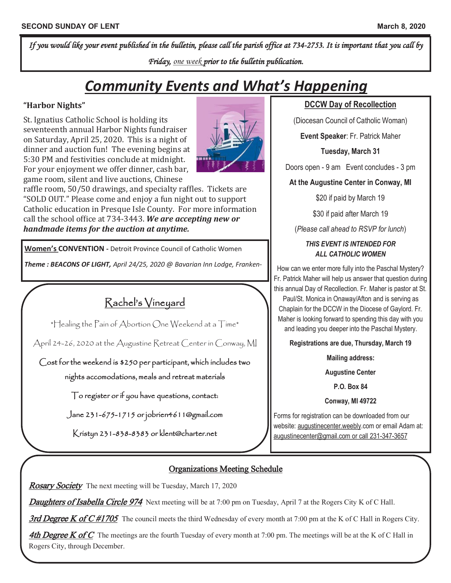*If you would like your event published in the bulletin, please call the parish office at 734-2753. It is important that you call by Friday, one week prior to the bulletin publication.* 

# *Community Events and What's Happening*

#### **"Harbor Nights"**

St. Ignatius Catholic School is holding its seventeenth annual Harbor Nights fundraiser on Saturday, April 25, 2020. This is a night of dinner and auction fun! The evening begins at 5:30 PM and festivities conclude at midnight. For your enjoyment we offer dinner, cash bar, game room, silent and live auctions, Chinese



raffle room, 50/50 drawings, and specialty raffles. Tickets are "SOLD OUT." Please come and enjoy a fun night out to support Catholic education in Presque Isle County. For more information call the school office at 734-3443. *We are accepting new or handmade items for the auction at anytime.* 

**Women's CONVENTION -** Detroit Province Council of Catholic Women

*Theme : BEACONS OF LIGHT, April 24/25, 2020 @ Bavarian Inn Lodge, Franken-*

## Rachel's Vineyard

\*Healing the Pain of Abortion One Weekend at a Time\*

April 24-26, 2020 at the Augustine Retreat Center in Conway, MI

Cost for the weekend is \$250 per participant, which includes two nights accomodations, meals and retreat materials

To register or if you have questions, contact:

Jane 231-675-1715 or jobrien4611@gmail.com

Kristyn 231-838-8383 or klent@charter.net

## **DCCW Day of Recollection**

(Diocesan Council of Catholic Woman)

**Event Speaker**: Fr. Patrick Maher

**Tuesday, March 31**

Doors open - 9 am Event concludes - 3 pm

**At the Augustine Center in Conway, MI**

\$20 if paid by March 19

\$30 if paid after March 19

(*Please call ahead to RSVP for lunch*)

#### *THIS EVENT IS INTENDED FOR ALL CATHOLIC WOMEN*

How can we enter more fully into the Paschal Mystery? Fr. Patrick Maher will help us answer that question during this annual Day of Recollection. Fr. Maher is pastor at St. Paul/St. Monica in Onaway/Afton and is serving as Chaplain for the DCCW in the Diocese of Gaylord. Fr. Maher is looking forward to spending this day with you and leading you deeper into the Paschal Mystery.

**Registrations are due, Thursday, March 19**

**Mailing address:**

**Augustine Center**

**P.O. Box 84**

**Conway, MI 49722**

Forms for registration can be downloaded from our website: augustinecenter.weebly.com or email Adam at: augustinecenter@gmail.com or call 231-347-3657

## Organizations Meeting Schedule

**Rosary Society** The next meeting will be Tuesday, March 17, 2020

Daughters of Isabella Circle 974 Next meeting will be at 7:00 pm on Tuesday, April 7 at the Rogers City K of C Hall.

3rd Degree K of C #1705 The council meets the third Wednesday of every month at 7:00 pm at the K of C Hall in Rogers City.

**4th Degree K of C** The meetings are the fourth Tuesday of every month at 7:00 pm. The meetings will be at the K of C Hall in Rogers City, through December.